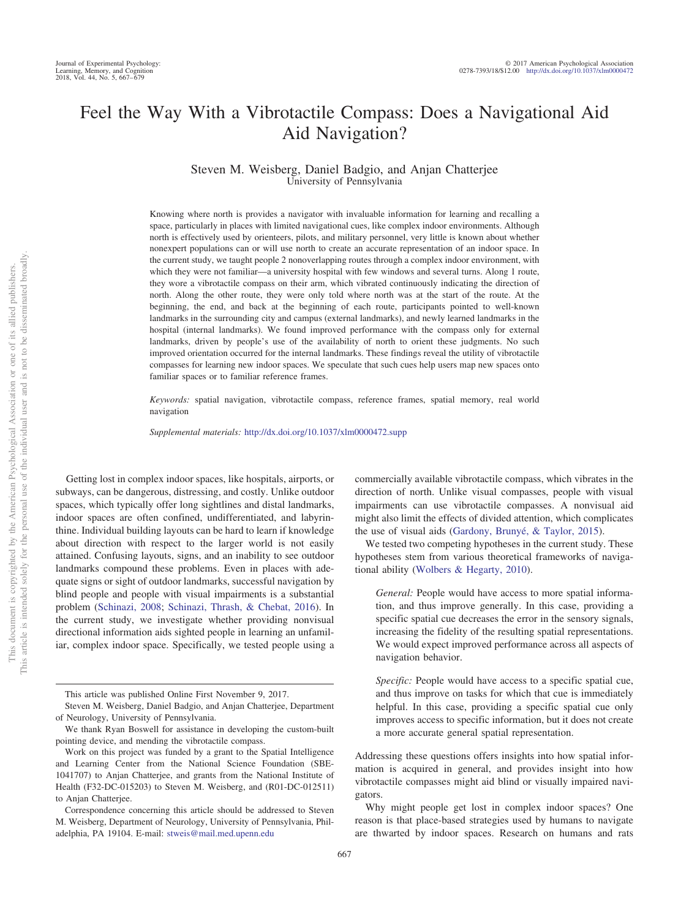# Feel the Way With a Vibrotactile Compass: Does a Navigational Aid Aid Navigation?

Steven M. Weisberg, Daniel Badgio, and Anjan Chatterjee University of Pennsylvania

Knowing where north is provides a navigator with invaluable information for learning and recalling a space, particularly in places with limited navigational cues, like complex indoor environments. Although north is effectively used by orienteers, pilots, and military personnel, very little is known about whether nonexpert populations can or will use north to create an accurate representation of an indoor space. In the current study, we taught people 2 nonoverlapping routes through a complex indoor environment, with which they were not familiar—a university hospital with few windows and several turns. Along 1 route, they wore a vibrotactile compass on their arm, which vibrated continuously indicating the direction of north. Along the other route, they were only told where north was at the start of the route. At the beginning, the end, and back at the beginning of each route, participants pointed to well-known landmarks in the surrounding city and campus (external landmarks), and newly learned landmarks in the hospital (internal landmarks). We found improved performance with the compass only for external landmarks, driven by people's use of the availability of north to orient these judgments. No such improved orientation occurred for the internal landmarks. These findings reveal the utility of vibrotactile compasses for learning new indoor spaces. We speculate that such cues help users map new spaces onto familiar spaces or to familiar reference frames.

*Keywords:* spatial navigation, vibrotactile compass, reference frames, spatial memory, real world navigation

*Supplemental materials:* http://dx.doi.org/10.1037/xlm0000472.supp

Getting lost in complex indoor spaces, like hospitals, airports, or subways, can be dangerous, distressing, and costly. Unlike outdoor spaces, which typically offer long sightlines and distal landmarks, indoor spaces are often confined, undifferentiated, and labyrinthine. Individual building layouts can be hard to learn if knowledge about direction with respect to the larger world is not easily attained. Confusing layouts, signs, and an inability to see outdoor landmarks compound these problems. Even in places with adequate signs or sight of outdoor landmarks, successful navigation by blind people and people with visual impairments is a substantial problem [\(Schinazi, 2008;](#page-12-0) [Schinazi, Thrash, & Chebat, 2016\)](#page-12-1). In the current study, we investigate whether providing nonvisual directional information aids sighted people in learning an unfamiliar, complex indoor space. Specifically, we tested people using a commercially available vibrotactile compass, which vibrates in the direction of north. Unlike visual compasses, people with visual impairments can use vibrotactile compasses. A nonvisual aid might also limit the effects of divided attention, which complicates the use of visual aids [\(Gardony, Brunyé, & Taylor, 2015\)](#page-11-0).

We tested two competing hypotheses in the current study. These hypotheses stem from various theoretical frameworks of navigational ability [\(Wolbers & Hegarty, 2010\)](#page-12-2).

*General:* People would have access to more spatial information, and thus improve generally. In this case, providing a specific spatial cue decreases the error in the sensory signals, increasing the fidelity of the resulting spatial representations. We would expect improved performance across all aspects of navigation behavior.

*Specific:* People would have access to a specific spatial cue, and thus improve on tasks for which that cue is immediately helpful. In this case, providing a specific spatial cue only improves access to specific information, but it does not create a more accurate general spatial representation.

Addressing these questions offers insights into how spatial information is acquired in general, and provides insight into how vibrotactile compasses might aid blind or visually impaired navigators.

Why might people get lost in complex indoor spaces? One reason is that place-based strategies used by humans to navigate are thwarted by indoor spaces. Research on humans and rats

This article was published Online First November 9, 2017.

Steven M. Weisberg, Daniel Badgio, and Anjan Chatterjee, Department of Neurology, University of Pennsylvania.

We thank Ryan Boswell for assistance in developing the custom-built pointing device, and mending the vibrotactile compass.

Work on this project was funded by a grant to the Spatial Intelligence and Learning Center from the National Science Foundation (SBE-1041707) to Anjan Chatterjee, and grants from the National Institute of Health (F32-DC-015203) to Steven M. Weisberg, and (R01-DC-012511) to Anjan Chatterjee.

Correspondence concerning this article should be addressed to Steven M. Weisberg, Department of Neurology, University of Pennsylvania, Philadelphia, PA 19104. E-mail: [stweis@mail.med.upenn.edu](mailto:stweis@mail.med.upenn.edu)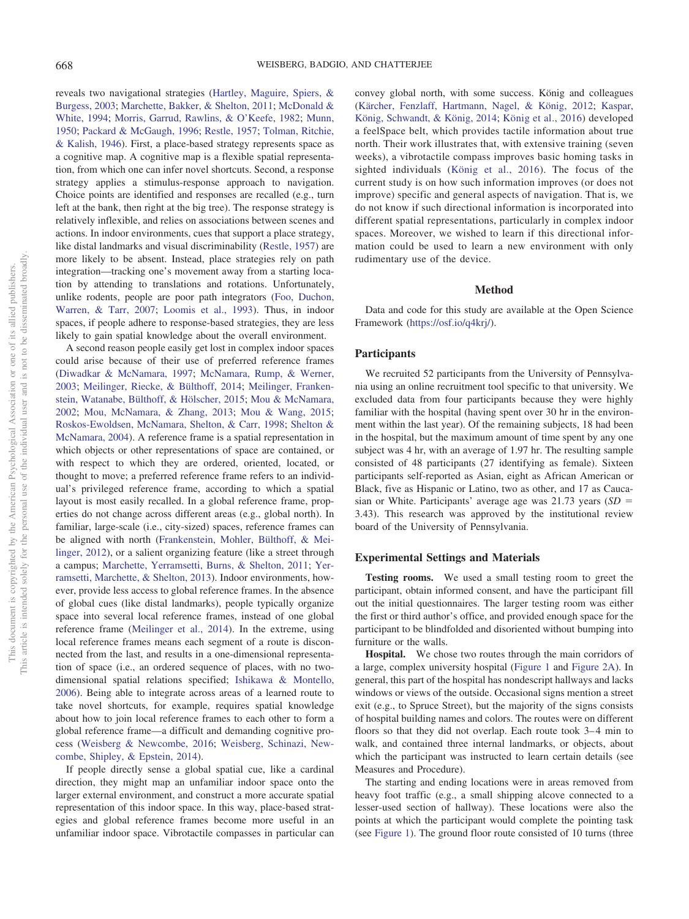reveals two navigational strategies [\(Hartley, Maguire, Spiers, &](#page-11-1) [Burgess, 2003;](#page-11-1) [Marchette, Bakker, & Shelton, 2011;](#page-11-2) [McDonald &](#page-11-3) [White, 1994;](#page-11-3) [Morris, Garrud, Rawlins, & O'Keefe, 1982;](#page-11-4) [Munn,](#page-11-5) [1950;](#page-11-5) [Packard & McGaugh, 1996;](#page-11-6) [Restle, 1957;](#page-12-3) [Tolman, Ritchie,](#page-12-4) [& Kalish, 1946\)](#page-12-4). First, a place-based strategy represents space as a cognitive map. A cognitive map is a flexible spatial representation, from which one can infer novel shortcuts. Second, a response strategy applies a stimulus-response approach to navigation. Choice points are identified and responses are recalled (e.g., turn left at the bank, then right at the big tree). The response strategy is relatively inflexible, and relies on associations between scenes and actions. In indoor environments, cues that support a place strategy, like distal landmarks and visual discriminability [\(Restle, 1957\)](#page-12-3) are more likely to be absent. Instead, place strategies rely on path integration—tracking one's movement away from a starting location by attending to translations and rotations. Unfortunately, unlike rodents, people are poor path integrators [\(Foo, Duchon,](#page-11-7) [Warren, & Tarr, 2007;](#page-11-7) [Loomis et al., 1993\)](#page-11-8). Thus, in indoor spaces, if people adhere to response-based strategies, they are less likely to gain spatial knowledge about the overall environment.

A second reason people easily get lost in complex indoor spaces could arise because of their use of preferred reference frames [\(Diwadkar & McNamara, 1997;](#page-11-9) [McNamara, Rump, & Werner,](#page-11-10) [2003;](#page-11-10) [Meilinger, Riecke, & Bülthoff, 2014;](#page-11-11) [Meilinger, Franken](#page-11-12)[stein, Watanabe, Bülthoff, & Hölscher, 2015;](#page-11-12) [Mou & McNamara,](#page-11-13) [2002;](#page-11-13) [Mou, McNamara, & Zhang, 2013;](#page-11-14) [Mou & Wang, 2015;](#page-11-15) [Roskos-Ewoldsen, McNamara, Shelton, & Carr, 1998;](#page-12-5) [Shelton &](#page-12-6) [McNamara, 2004\)](#page-12-6). A reference frame is a spatial representation in which objects or other representations of space are contained, or with respect to which they are ordered, oriented, located, or thought to move; a preferred reference frame refers to an individual's privileged reference frame, according to which a spatial layout is most easily recalled. In a global reference frame, properties do not change across different areas (e.g., global north). In familiar, large-scale (i.e., city-sized) spaces, reference frames can be aligned with north [\(Frankenstein, Mohler, Bülthoff, & Mei](#page-11-16)[linger, 2012\)](#page-11-16), or a salient organizing feature (like a street through a campus; [Marchette, Yerramsetti, Burns, & Shelton, 2011;](#page-11-17) [Yer](#page-12-7)[ramsetti, Marchette, & Shelton, 2013\)](#page-12-7). Indoor environments, however, provide less access to global reference frames. In the absence of global cues (like distal landmarks), people typically organize space into several local reference frames, instead of one global reference frame [\(Meilinger et al., 2014\)](#page-11-11). In the extreme, using local reference frames means each segment of a route is disconnected from the last, and results in a one-dimensional representation of space (i.e., an ordered sequence of places, with no twodimensional spatial relations specified; [Ishikawa & Montello,](#page-11-18) [2006\)](#page-11-18). Being able to integrate across areas of a learned route to take novel shortcuts, for example, requires spatial knowledge about how to join local reference frames to each other to form a global reference frame—a difficult and demanding cognitive process [\(Weisberg & Newcombe, 2016;](#page-12-8) [Weisberg, Schinazi, New](#page-12-9)[combe, Shipley, & Epstein, 2014\)](#page-12-9).

If people directly sense a global spatial cue, like a cardinal direction, they might map an unfamiliar indoor space onto the larger external environment, and construct a more accurate spatial representation of this indoor space. In this way, place-based strategies and global reference frames become more useful in an unfamiliar indoor space. Vibrotactile compasses in particular can convey global north, with some success. König and colleagues [\(Kärcher, Fenzlaff, Hartmann, Nagel, & König, 2012;](#page-11-19) [Kaspar,](#page-11-20) [König, Schwandt, & König, 2014;](#page-11-20) [König et al., 2016\)](#page-11-21) developed a feelSpace belt, which provides tactile information about true north. Their work illustrates that, with extensive training (seven weeks), a vibrotactile compass improves basic homing tasks in sighted individuals [\(König et al., 2016\)](#page-11-21). The focus of the current study is on how such information improves (or does not improve) specific and general aspects of navigation. That is, we do not know if such directional information is incorporated into different spatial representations, particularly in complex indoor spaces. Moreover, we wished to learn if this directional information could be used to learn a new environment with only rudimentary use of the device.

#### **Method**

Data and code for this study are available at the Open Science Framework [\(https://osf.io/q4krj/\)](https://osf.io/q4krj/).

#### **Participants**

We recruited 52 participants from the University of Pennsylvania using an online recruitment tool specific to that university. We excluded data from four participants because they were highly familiar with the hospital (having spent over 30 hr in the environment within the last year). Of the remaining subjects, 18 had been in the hospital, but the maximum amount of time spent by any one subject was 4 hr, with an average of 1.97 hr. The resulting sample consisted of 48 participants (27 identifying as female). Sixteen participants self-reported as Asian, eight as African American or Black, five as Hispanic or Latino, two as other, and 17 as Caucasian or White. Participants' average age was  $21.73$  years ( $SD =$ 3.43). This research was approved by the institutional review board of the University of Pennsylvania.

# **Experimental Settings and Materials**

**Testing rooms.** We used a small testing room to greet the participant, obtain informed consent, and have the participant fill out the initial questionnaires. The larger testing room was either the first or third author's office, and provided enough space for the participant to be blindfolded and disoriented without bumping into furniture or the walls.

**Hospital.** We chose two routes through the main corridors of a large, complex university hospital [\(Figure 1](#page-2-0) and [Figure 2A\)](#page-3-0). In general, this part of the hospital has nondescript hallways and lacks windows or views of the outside. Occasional signs mention a street exit (e.g., to Spruce Street), but the majority of the signs consists of hospital building names and colors. The routes were on different floors so that they did not overlap. Each route took 3–4 min to walk, and contained three internal landmarks, or objects, about which the participant was instructed to learn certain details (see Measures and Procedure).

The starting and ending locations were in areas removed from heavy foot traffic (e.g., a small shipping alcove connected to a lesser-used section of hallway). These locations were also the points at which the participant would complete the pointing task (see [Figure 1\)](#page-2-0). The ground floor route consisted of 10 turns (three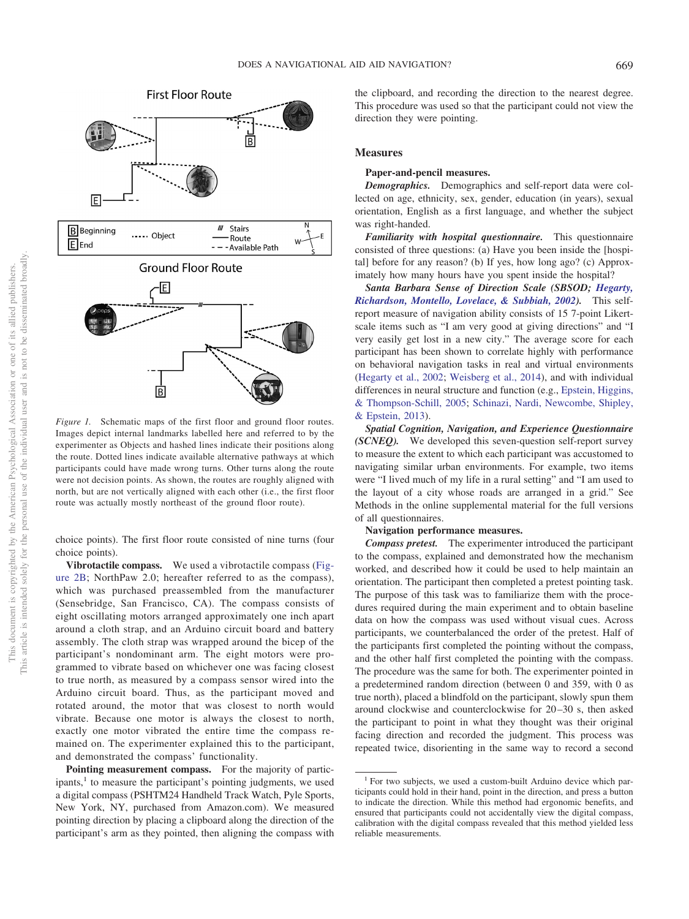

<span id="page-2-0"></span>*Figure 1.* Schematic maps of the first floor and ground floor routes. Images depict internal landmarks labelled here and referred to by the experimenter as Objects and hashed lines indicate their positions along the route. Dotted lines indicate available alternative pathways at which participants could have made wrong turns. Other turns along the route were not decision points. As shown, the routes are roughly aligned with north, but are not vertically aligned with each other (i.e., the first floor route was actually mostly northeast of the ground floor route).

choice points). The first floor route consisted of nine turns (four choice points).

**Vibrotactile compass.** We used a vibrotactile compass [\(Fig](#page-3-0)[ure 2B;](#page-3-0) NorthPaw 2.0; hereafter referred to as the compass), which was purchased preassembled from the manufacturer (Sensebridge, San Francisco, CA). The compass consists of eight oscillating motors arranged approximately one inch apart around a cloth strap, and an Arduino circuit board and battery assembly. The cloth strap was wrapped around the bicep of the participant's nondominant arm. The eight motors were programmed to vibrate based on whichever one was facing closest to true north, as measured by a compass sensor wired into the Arduino circuit board. Thus, as the participant moved and rotated around, the motor that was closest to north would vibrate. Because one motor is always the closest to north, exactly one motor vibrated the entire time the compass remained on. The experimenter explained this to the participant, and demonstrated the compass' functionality.

**Pointing measurement compass.** For the majority of participants,<sup>1</sup> to measure the participant's pointing judgments, we used a digital compass (PSHTM24 Handheld Track Watch, Pyle Sports, New York, NY, purchased from Amazon.com). We measured pointing direction by placing a clipboard along the direction of the participant's arm as they pointed, then aligning the compass with the clipboard, and recording the direction to the nearest degree. This procedure was used so that the participant could not view the direction they were pointing.

# **Measures**

#### **Paper-and-pencil measures.**

*Demographics.* Demographics and self-report data were collected on age, ethnicity, sex, gender, education (in years), sexual orientation, English as a first language, and whether the subject was right-handed.

*Familiarity with hospital questionnaire.* This questionnaire consisted of three questions: (a) Have you been inside the [hospital] before for any reason? (b) If yes, how long ago? (c) Approximately how many hours have you spent inside the hospital?

*Santa Barbara Sense of Direction Scale (SBSOD; [Hegarty,](#page-11-22) [Richardson, Montello, Lovelace, & Subbiah, 2002\)](#page-11-22).* This selfreport measure of navigation ability consists of 15 7-point Likertscale items such as "I am very good at giving directions" and "I very easily get lost in a new city." The average score for each participant has been shown to correlate highly with performance on behavioral navigation tasks in real and virtual environments [\(Hegarty et al., 2002;](#page-11-22) [Weisberg et al., 2014\)](#page-12-9), and with individual differences in neural structure and function (e.g., [Epstein, Higgins,](#page-11-23) [& Thompson-Schill, 2005;](#page-11-23) [Schinazi, Nardi, Newcombe, Shipley,](#page-12-10) [& Epstein, 2013\)](#page-12-10).

*Spatial Cognition, Navigation, and Experience Questionnaire (SCNEQ).* We developed this seven-question self-report survey to measure the extent to which each participant was accustomed to navigating similar urban environments. For example, two items were "I lived much of my life in a rural setting" and "I am used to the layout of a city whose roads are arranged in a grid." See Methods in the online supplemental material for the full versions of all questionnaires.

## **Navigation performance measures.**

*Compass pretest.* The experimenter introduced the participant to the compass, explained and demonstrated how the mechanism worked, and described how it could be used to help maintain an orientation. The participant then completed a pretest pointing task. The purpose of this task was to familiarize them with the procedures required during the main experiment and to obtain baseline data on how the compass was used without visual cues. Across participants, we counterbalanced the order of the pretest. Half of the participants first completed the pointing without the compass, and the other half first completed the pointing with the compass. The procedure was the same for both. The experimenter pointed in a predetermined random direction (between 0 and 359, with 0 as true north), placed a blindfold on the participant, slowly spun them around clockwise and counterclockwise for 20 –30 s, then asked the participant to point in what they thought was their original facing direction and recorded the judgment. This process was repeated twice, disorienting in the same way to record a second

 $1$  For two subjects, we used a custom-built Arduino device which participants could hold in their hand, point in the direction, and press a button to indicate the direction. While this method had ergonomic benefits, and ensured that participants could not accidentally view the digital compass, calibration with the digital compass revealed that this method yielded less reliable measurements.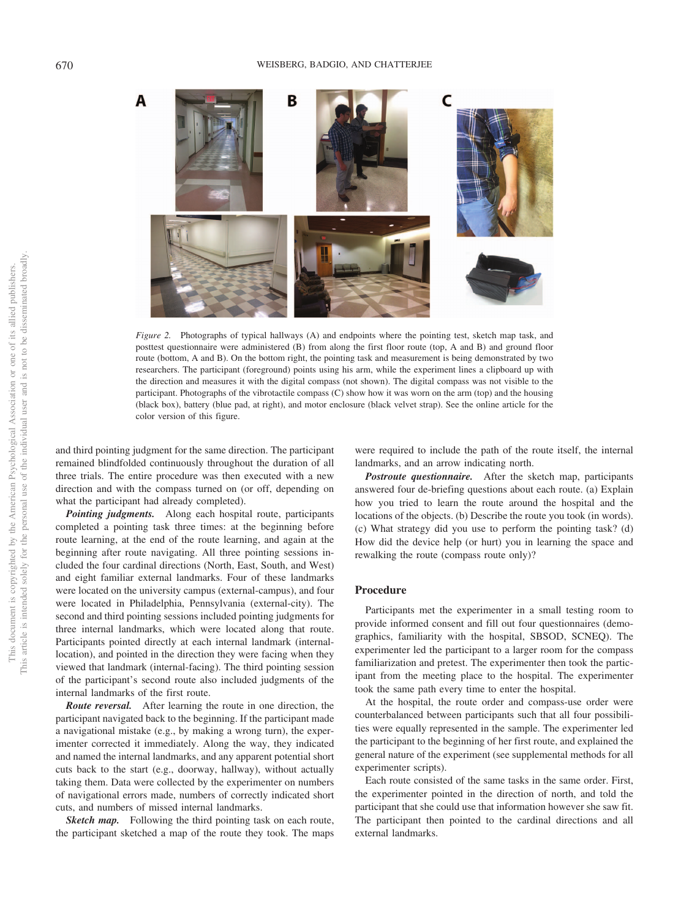#### 670 WEISBERG, BADGIO, AND CHATTERJEE



<span id="page-3-0"></span>*Figure 2.* Photographs of typical hallways (A) and endpoints where the pointing test, sketch map task, and posttest questionnaire were administered (B) from along the first floor route (top, A and B) and ground floor route (bottom, A and B). On the bottom right, the pointing task and measurement is being demonstrated by two researchers. The participant (foreground) points using his arm, while the experiment lines a clipboard up with the direction and measures it with the digital compass (not shown). The digital compass was not visible to the participant. Photographs of the vibrotactile compass (C) show how it was worn on the arm (top) and the housing (black box), battery (blue pad, at right), and motor enclosure (black velvet strap). See the online article for the color version of this figure.

and third pointing judgment for the same direction. The participant remained blindfolded continuously throughout the duration of all three trials. The entire procedure was then executed with a new direction and with the compass turned on (or off, depending on what the participant had already completed).

*Pointing judgments.* Along each hospital route, participants completed a pointing task three times: at the beginning before route learning, at the end of the route learning, and again at the beginning after route navigating. All three pointing sessions included the four cardinal directions (North, East, South, and West) and eight familiar external landmarks. Four of these landmarks were located on the university campus (external-campus), and four were located in Philadelphia, Pennsylvania (external-city). The second and third pointing sessions included pointing judgments for three internal landmarks, which were located along that route. Participants pointed directly at each internal landmark (internallocation), and pointed in the direction they were facing when they viewed that landmark (internal-facing). The third pointing session of the participant's second route also included judgments of the internal landmarks of the first route.

*Route reversal.* After learning the route in one direction, the participant navigated back to the beginning. If the participant made a navigational mistake (e.g., by making a wrong turn), the experimenter corrected it immediately. Along the way, they indicated and named the internal landmarks, and any apparent potential short cuts back to the start (e.g., doorway, hallway), without actually taking them. Data were collected by the experimenter on numbers of navigational errors made, numbers of correctly indicated short cuts, and numbers of missed internal landmarks.

**Sketch map.** Following the third pointing task on each route, the participant sketched a map of the route they took. The maps

were required to include the path of the route itself, the internal landmarks, and an arrow indicating north.

*Postroute questionnaire.* After the sketch map, participants answered four de-briefing questions about each route. (a) Explain how you tried to learn the route around the hospital and the locations of the objects. (b) Describe the route you took (in words). (c) What strategy did you use to perform the pointing task? (d) How did the device help (or hurt) you in learning the space and rewalking the route (compass route only)?

# **Procedure**

Participants met the experimenter in a small testing room to provide informed consent and fill out four questionnaires (demographics, familiarity with the hospital, SBSOD, SCNEQ). The experimenter led the participant to a larger room for the compass familiarization and pretest. The experimenter then took the participant from the meeting place to the hospital. The experimenter took the same path every time to enter the hospital.

At the hospital, the route order and compass-use order were counterbalanced between participants such that all four possibilities were equally represented in the sample. The experimenter led the participant to the beginning of her first route, and explained the general nature of the experiment (see supplemental methods for all experimenter scripts).

Each route consisted of the same tasks in the same order. First, the experimenter pointed in the direction of north, and told the participant that she could use that information however she saw fit. The participant then pointed to the cardinal directions and all external landmarks.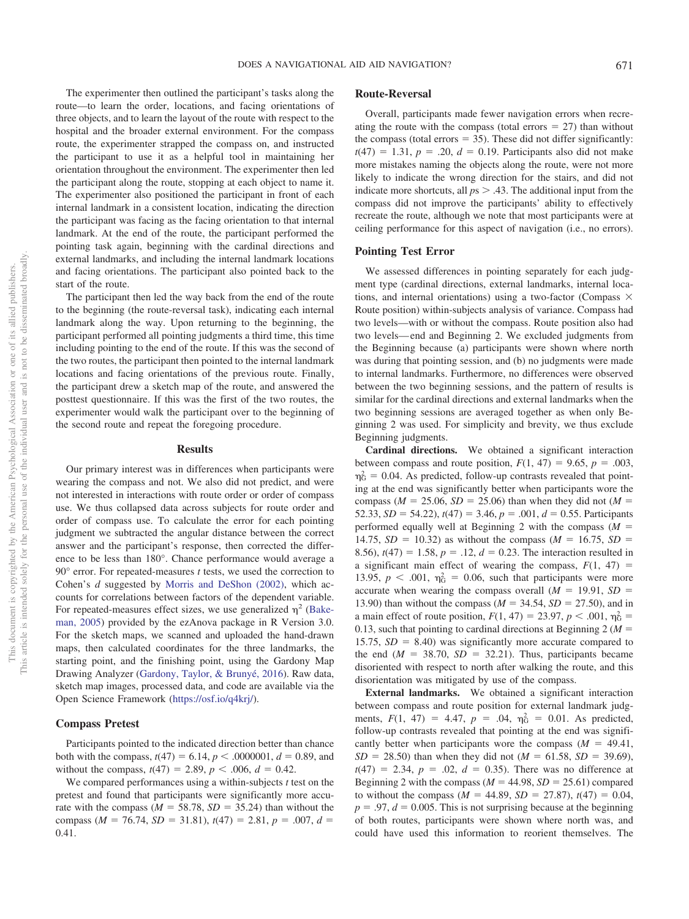The experimenter then outlined the participant's tasks along the route—to learn the order, locations, and facing orientations of three objects, and to learn the layout of the route with respect to the hospital and the broader external environment. For the compass route, the experimenter strapped the compass on, and instructed the participant to use it as a helpful tool in maintaining her orientation throughout the environment. The experimenter then led the participant along the route, stopping at each object to name it. The experimenter also positioned the participant in front of each internal landmark in a consistent location, indicating the direction the participant was facing as the facing orientation to that internal landmark. At the end of the route, the participant performed the pointing task again, beginning with the cardinal directions and external landmarks, and including the internal landmark locations and facing orientations. The participant also pointed back to the start of the route.

The participant then led the way back from the end of the route to the beginning (the route-reversal task), indicating each internal landmark along the way. Upon returning to the beginning, the participant performed all pointing judgments a third time, this time including pointing to the end of the route. If this was the second of the two routes, the participant then pointed to the internal landmark locations and facing orientations of the previous route. Finally, the participant drew a sketch map of the route, and answered the posttest questionnaire. If this was the first of the two routes, the experimenter would walk the participant over to the beginning of the second route and repeat the foregoing procedure.

#### **Results**

Our primary interest was in differences when participants were wearing the compass and not. We also did not predict, and were not interested in interactions with route order or order of compass use. We thus collapsed data across subjects for route order and order of compass use. To calculate the error for each pointing judgment we subtracted the angular distance between the correct answer and the participant's response, then corrected the difference to be less than 180°. Chance performance would average a 90° error. For repeated-measures *t* tests, we used the correction to Cohen's *d* suggested by [Morris and DeShon \(2002\),](#page-11-24) which accounts for correlations between factors of the dependent variable. For repeated-measures effect sizes, we use generalized  $\eta^2$  [\(Bake](#page-11-25)[man, 2005\)](#page-11-25) provided by the ezAnova package in R Version 3.0. For the sketch maps, we scanned and uploaded the hand-drawn maps, then calculated coordinates for the three landmarks, the starting point, and the finishing point, using the Gardony Map Drawing Analyzer [\(Gardony, Taylor, & Brunyé, 2016\)](#page-11-26). Raw data, sketch map images, processed data, and code are available via the Open Science Framework [\(https://osf.io/q4krj/\)](https://osf.io/q4krj/).

## **Compass Pretest**

Participants pointed to the indicated direction better than chance both with the compass,  $t(47) = 6.14$ ,  $p < .0000001$ ,  $d = 0.89$ , and without the compass,  $t(47) = 2.89$ ,  $p < .006$ ,  $d = 0.42$ .

We compared performances using a within-subjects *t* test on the pretest and found that participants were significantly more accurate with the compass  $(M = 58.78, SD = 35.24)$  than without the compass ( $M = 76.74$ ,  $SD = 31.81$ ),  $t(47) = 2.81$ ,  $p = .007$ ,  $d =$ 0.41.

# **Route-Reversal**

Overall, participants made fewer navigation errors when recreating the route with the compass (total errors  $= 27$ ) than without the compass (total errors  $= 35$ ). These did not differ significantly:  $t(47) = 1.31, p = .20, d = 0.19$ . Participants also did not make more mistakes naming the objects along the route, were not more likely to indicate the wrong direction for the stairs, and did not indicate more shortcuts, all  $ps > .43$ . The additional input from the compass did not improve the participants' ability to effectively recreate the route, although we note that most participants were at ceiling performance for this aspect of navigation (i.e., no errors).

#### **Pointing Test Error**

We assessed differences in pointing separately for each judgment type (cardinal directions, external landmarks, internal locations, and internal orientations) using a two-factor (Compass  $\times$ Route position) within-subjects analysis of variance. Compass had two levels—with or without the compass. Route position also had two levels— end and Beginning 2. We excluded judgments from the Beginning because (a) participants were shown where north was during that pointing session, and (b) no judgments were made to internal landmarks. Furthermore, no differences were observed between the two beginning sessions, and the pattern of results is similar for the cardinal directions and external landmarks when the two beginning sessions are averaged together as when only Beginning 2 was used. For simplicity and brevity, we thus exclude Beginning judgments.

**Cardinal directions.** We obtained a significant interaction between compass and route position,  $F(1, 47) = 9.65$ ,  $p = .003$ ,  $\eta_G^2 = 0.04$ . As predicted, follow-up contrasts revealed that pointing at the end was significantly better when participants wore the compass ( $M = 25.06$ ,  $SD = 25.06$ ) than when they did not ( $M =$ 52.33,  $SD = 54.22$ ),  $t(47) = 3.46$ ,  $p = .001$ ,  $d = 0.55$ . Participants performed equally well at Beginning 2 with the compass  $(M =$ 14.75,  $SD = 10.32$ ) as without the compass ( $M = 16.75$ ,  $SD =$ 8.56),  $t(47) = 1.58$ ,  $p = .12$ ,  $d = 0.23$ . The interaction resulted in a significant main effect of wearing the compass,  $F(1, 47) =$ 13.95,  $p < .001$ ,  $\eta_G^2 = 0.06$ , such that participants were more accurate when wearing the compass overall  $(M = 19.91, SD =$ 13.90) than without the compass ( $M = 34.54$ ,  $SD = 27.50$ ), and in a main effect of route position,  $F(1, 47) = 23.97, p < .001, \eta_G^2 =$ 0.13, such that pointing to cardinal directions at Beginning  $2(M =$ 15.75,  $SD = 8.40$ ) was significantly more accurate compared to the end  $(M = 38.70, SD = 32.21)$ . Thus, participants became disoriented with respect to north after walking the route, and this disorientation was mitigated by use of the compass.

**External landmarks.** We obtained a significant interaction between compass and route position for external landmark judgments,  $F(1, 47) = 4.47$ ,  $p = .04$ ,  $\eta_G^2 = 0.01$ . As predicted, follow-up contrasts revealed that pointing at the end was significantly better when participants wore the compass  $(M = 49.41,$  $SD = 28.50$ ) than when they did not ( $M = 61.58$ ,  $SD = 39.69$ ),  $t(47) = 2.34, p = .02, d = 0.35$ . There was no difference at Beginning 2 with the compass ( $M = 44.98$ ,  $SD = 25.61$ ) compared to without the compass  $(M = 44.89, SD = 27.87), t(47) = 0.04,$  $p = .97$ ,  $d = 0.005$ . This is not surprising because at the beginning of both routes, participants were shown where north was, and could have used this information to reorient themselves. The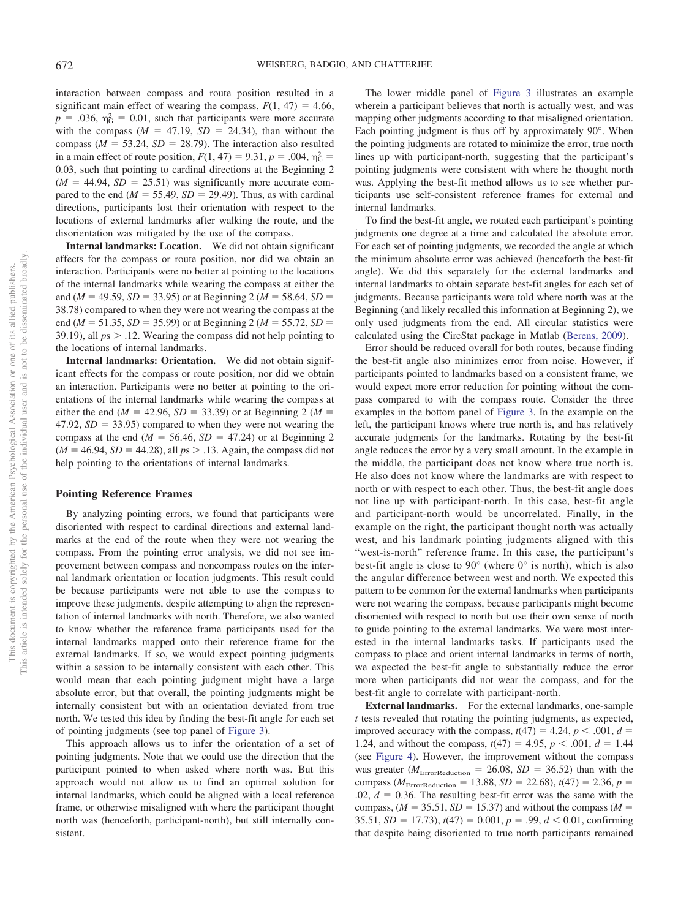interaction between compass and route position resulted in a significant main effect of wearing the compass,  $F(1, 47) = 4.66$ ,  $p = 0.036$ ,  $\eta_G^2 = 0.01$ , such that participants were more accurate with the compass  $(M = 47.19, SD = 24.34)$ , than without the compass ( $M = 53.24$ ,  $SD = 28.79$ ). The interaction also resulted in a main effect of route position,  $F(1, 47) = 9.31$ ,  $p = .004$ ,  $\eta_G^2 =$ 0.03, such that pointing to cardinal directions at the Beginning 2  $(M = 44.94, SD = 25.51)$  was significantly more accurate compared to the end  $(M = 55.49, SD = 29.49)$ . Thus, as with cardinal directions, participants lost their orientation with respect to the locations of external landmarks after walking the route, and the disorientation was mitigated by the use of the compass.

**Internal landmarks: Location.** We did not obtain significant effects for the compass or route position, nor did we obtain an interaction. Participants were no better at pointing to the locations of the internal landmarks while wearing the compass at either the end ( $M = 49.59$ ,  $SD = 33.95$ ) or at Beginning 2 ( $M = 58.64$ ,  $SD =$ 38.78) compared to when they were not wearing the compass at the end ( $M = 51.35$ ,  $SD = 35.99$ ) or at Beginning 2 ( $M = 55.72$ ,  $SD =$ 39.19), all  $ps > 0.12$ . Wearing the compass did not help pointing to the locations of internal landmarks.

**Internal landmarks: Orientation.** We did not obtain significant effects for the compass or route position, nor did we obtain an interaction. Participants were no better at pointing to the orientations of the internal landmarks while wearing the compass at either the end ( $M = 42.96$ ,  $SD = 33.39$ ) or at Beginning 2 ( $M =$  $47.92$ ,  $SD = 33.95$ ) compared to when they were not wearing the compass at the end  $(M = 56.46, SD = 47.24)$  or at Beginning 2  $(M = 46.94, SD = 44.28)$ , all  $ps > .13$ . Again, the compass did not help pointing to the orientations of internal landmarks.

# **Pointing Reference Frames**

By analyzing pointing errors, we found that participants were disoriented with respect to cardinal directions and external landmarks at the end of the route when they were not wearing the compass. From the pointing error analysis, we did not see improvement between compass and noncompass routes on the internal landmark orientation or location judgments. This result could be because participants were not able to use the compass to improve these judgments, despite attempting to align the representation of internal landmarks with north. Therefore, we also wanted to know whether the reference frame participants used for the internal landmarks mapped onto their reference frame for the external landmarks. If so, we would expect pointing judgments within a session to be internally consistent with each other. This would mean that each pointing judgment might have a large absolute error, but that overall, the pointing judgments might be internally consistent but with an orientation deviated from true north. We tested this idea by finding the best-fit angle for each set of pointing judgments (see top panel of [Figure 3\)](#page-7-0).

This approach allows us to infer the orientation of a set of pointing judgments. Note that we could use the direction that the participant pointed to when asked where north was. But this approach would not allow us to find an optimal solution for internal landmarks, which could be aligned with a local reference frame, or otherwise misaligned with where the participant thought north was (henceforth, participant-north), but still internally consistent.

The lower middle panel of [Figure 3](#page-7-0) illustrates an example wherein a participant believes that north is actually west, and was mapping other judgments according to that misaligned orientation. Each pointing judgment is thus off by approximately 90°. When the pointing judgments are rotated to minimize the error, true north lines up with participant-north, suggesting that the participant's pointing judgments were consistent with where he thought north was. Applying the best-fit method allows us to see whether participants use self-consistent reference frames for external and internal landmarks.

To find the best-fit angle, we rotated each participant's pointing judgments one degree at a time and calculated the absolute error. For each set of pointing judgments, we recorded the angle at which the minimum absolute error was achieved (henceforth the best-fit angle). We did this separately for the external landmarks and internal landmarks to obtain separate best-fit angles for each set of judgments. Because participants were told where north was at the Beginning (and likely recalled this information at Beginning 2), we only used judgments from the end. All circular statistics were calculated using the CircStat package in Matlab [\(Berens, 2009\)](#page-11-27).

Error should be reduced overall for both routes, because finding the best-fit angle also minimizes error from noise. However, if participants pointed to landmarks based on a consistent frame, we would expect more error reduction for pointing without the compass compared to with the compass route. Consider the three examples in the bottom panel of [Figure 3.](#page-7-0) In the example on the left, the participant knows where true north is, and has relatively accurate judgments for the landmarks. Rotating by the best-fit angle reduces the error by a very small amount. In the example in the middle, the participant does not know where true north is. He also does not know where the landmarks are with respect to north or with respect to each other. Thus, the best-fit angle does not line up with participant-north. In this case, best-fit angle and participant-north would be uncorrelated. Finally, in the example on the right, the participant thought north was actually west, and his landmark pointing judgments aligned with this "west-is-north" reference frame. In this case, the participant's best-fit angle is close to 90° (where 0° is north), which is also the angular difference between west and north. We expected this pattern to be common for the external landmarks when participants were not wearing the compass, because participants might become disoriented with respect to north but use their own sense of north to guide pointing to the external landmarks. We were most interested in the internal landmarks tasks. If participants used the compass to place and orient internal landmarks in terms of north, we expected the best-fit angle to substantially reduce the error more when participants did not wear the compass, and for the best-fit angle to correlate with participant-north.

**External landmarks.** For the external landmarks, one-sample *t* tests revealed that rotating the pointing judgments, as expected, improved accuracy with the compass,  $t(47) = 4.24$ ,  $p < .001$ ,  $d =$ 1.24, and without the compass,  $t(47) = 4.95$ ,  $p < .001$ ,  $d = 1.44$ (see [Figure 4\)](#page-8-0). However, the improvement without the compass was greater ( $M_{\text{ErrorReduction}} = 26.08$ ,  $SD = 36.52$ ) than with the compass ( $M_{\text{ErrorReduction}} = 13.88, SD = 22.68$ ),  $t(47) = 2.36, p =$  $.02, d = 0.36$ . The resulting best-fit error was the same with the compass,  $(M = 35.51, SD = 15.37)$  and without the compass  $(M =$  $35.51, SD = 17.73$ ,  $t(47) = 0.001$ ,  $p = .99$ ,  $d < 0.01$ , confirming that despite being disoriented to true north participants remained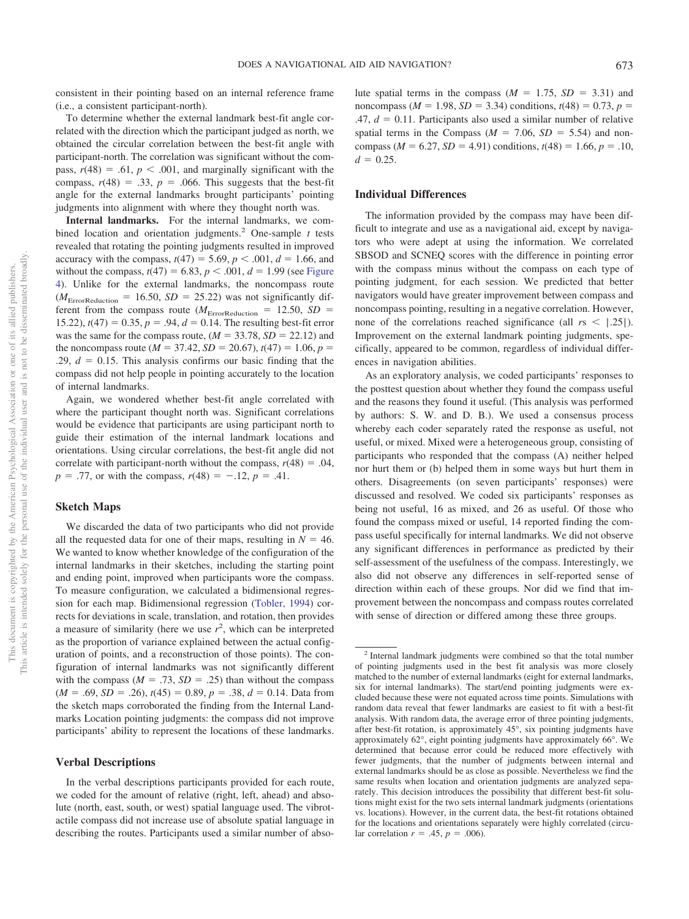consistent in their pointing based on an internal reference frame (i.e., a consistent participant-north).

To determine whether the external landmark best-fit angle correlated with the direction which the participant judged as north, we obtained the circular correlation between the best-fit angle with participant-north. The correlation was significant without the compass,  $r(48) = .61$ ,  $p < .001$ , and marginally significant with the compass,  $r(48) = .33$ ,  $p = .066$ . This suggests that the best-fit angle for the external landmarks brought participants' pointing judgments into alignment with where they thought north was.

**Internal landmarks.** For the internal landmarks, we combined location and orientation judgments.2 One-sample *t* tests revealed that rotating the pointing judgments resulted in improved accuracy with the compass,  $t(47) = 5.69$ ,  $p < .001$ ,  $d = 1.66$ , and without the compass,  $t(47) = 6.83$ ,  $p < .001$ ,  $d = 1.99$  (see [Figure](#page-8-0) [4\)](#page-8-0). Unlike for the external landmarks, the noncompass route  $(M<sub>ErrorReduction</sub> = 16.50, SD = 25.22)$  was not significantly different from the compass route ( $M_{\text{ErrorReduction}} = 12.50$ ,  $SD =$ 15.22),  $t(47) = 0.35$ ,  $p = .94$ ,  $d = 0.14$ . The resulting best-fit error was the same for the compass route,  $(M = 33.78, SD = 22.12)$  and the noncompass route ( $M = 37.42$ ,  $SD = 20.67$ ),  $t(47) = 1.06$ ,  $p =$  $.29, d = 0.15$ . This analysis confirms our basic finding that the compass did not help people in pointing accurately to the location of internal landmarks.

Again, we wondered whether best-fit angle correlated with where the participant thought north was. Significant correlations would be evidence that participants are using participant north to guide their estimation of the internal landmark locations and orientations. Using circular correlations, the best-fit angle did not correlate with participant-north without the compass,  $r(48) = .04$ ,  $p = .77$ , or with the compass,  $r(48) = -.12$ ,  $p = .41$ .

## **Sketch Maps**

We discarded the data of two participants who did not provide all the requested data for one of their maps, resulting in  $N = 46$ . We wanted to know whether knowledge of the configuration of the internal landmarks in their sketches, including the starting point and ending point, improved when participants wore the compass. To measure configuration, we calculated a bidimensional regression for each map. Bidimensional regression [\(Tobler, 1994\)](#page-12-11) corrects for deviations in scale, translation, and rotation, then provides a measure of similarity (here we use  $r^2$ , which can be interpreted as the proportion of variance explained between the actual configuration of points, and a reconstruction of those points). The configuration of internal landmarks was not significantly different with the compass  $(M = .73, SD = .25)$  than without the compass  $(M = .69, SD = .26), t(45) = 0.89, p = .38, d = 0.14. Data from$ the sketch maps corroborated the finding from the Internal Landmarks Location pointing judgments: the compass did not improve participants' ability to represent the locations of these landmarks.

#### **Verbal Descriptions**

In the verbal descriptions participants provided for each route, we coded for the amount of relative (right, left, ahead) and absolute (north, east, south, or west) spatial language used. The vibrotactile compass did not increase use of absolute spatial language in describing the routes. Participants used a similar number of abso-

lute spatial terms in the compass  $(M = 1.75, SD = 3.31)$  and noncompass ( $M = 1.98$ ,  $SD = 3.34$ ) conditions,  $t(48) = 0.73$ ,  $p =$  $.47, d = 0.11$ . Participants also used a similar number of relative spatial terms in the Compass ( $M = 7.06$ ,  $SD = 5.54$ ) and noncompass ( $M = 6.27$ ,  $SD = 4.91$ ) conditions,  $t(48) = 1.66$ ,  $p = .10$ ,  $d = 0.25$ .

#### **Individual Differences**

The information provided by the compass may have been difficult to integrate and use as a navigational aid, except by navigators who were adept at using the information. We correlated SBSOD and SCNEQ scores with the difference in pointing error with the compass minus without the compass on each type of pointing judgment, for each session. We predicted that better navigators would have greater improvement between compass and noncompass pointing, resulting in a negative correlation. However, none of the correlations reached significance (all  $rs < |.25|$ ). Improvement on the external landmark pointing judgments, specifically, appeared to be common, regardless of individual differences in navigation abilities.

As an exploratory analysis, we coded participants' responses to the posttest question about whether they found the compass useful and the reasons they found it useful. (This analysis was performed by authors: S. W. and D. B.). We used a consensus process whereby each coder separately rated the response as useful, not useful, or mixed. Mixed were a heterogeneous group, consisting of participants who responded that the compass (A) neither helped nor hurt them or (b) helped them in some ways but hurt them in others. Disagreements (on seven participants' responses) were discussed and resolved. We coded six participants' responses as being not useful, 16 as mixed, and 26 as useful. Of those who found the compass mixed or useful, 14 reported finding the compass useful specifically for internal landmarks. We did not observe any significant differences in performance as predicted by their self-assessment of the usefulness of the compass. Interestingly, we also did not observe any differences in self-reported sense of direction within each of these groups. Nor did we find that improvement between the noncompass and compass routes correlated with sense of direction or differed among these three groups.

<sup>2</sup> Internal landmark judgments were combined so that the total number of pointing judgments used in the best fit analysis was more closely matched to the number of external landmarks (eight for external landmarks, six for internal landmarks). The start/end pointing judgments were excluded because these were not equated across time points. Simulations with random data reveal that fewer landmarks are easiest to fit with a best-fit analysis. With random data, the average error of three pointing judgments, after best-fit rotation, is approximately 45°, six pointing judgments have approximately 62°, eight pointing judgments have approximately 66°. We determined that because error could be reduced more effectively with fewer judgments, that the number of judgments between internal and external landmarks should be as close as possible. Nevertheless we find the same results when location and orientation judgments are analyzed separately. This decision introduces the possibility that different best-fit solutions might exist for the two sets internal landmark judgments (orientations vs. locations). However, in the current data, the best-fit rotations obtained for the locations and orientations separately were highly correlated (circular correlation  $r = .45$ ,  $p = .006$ ).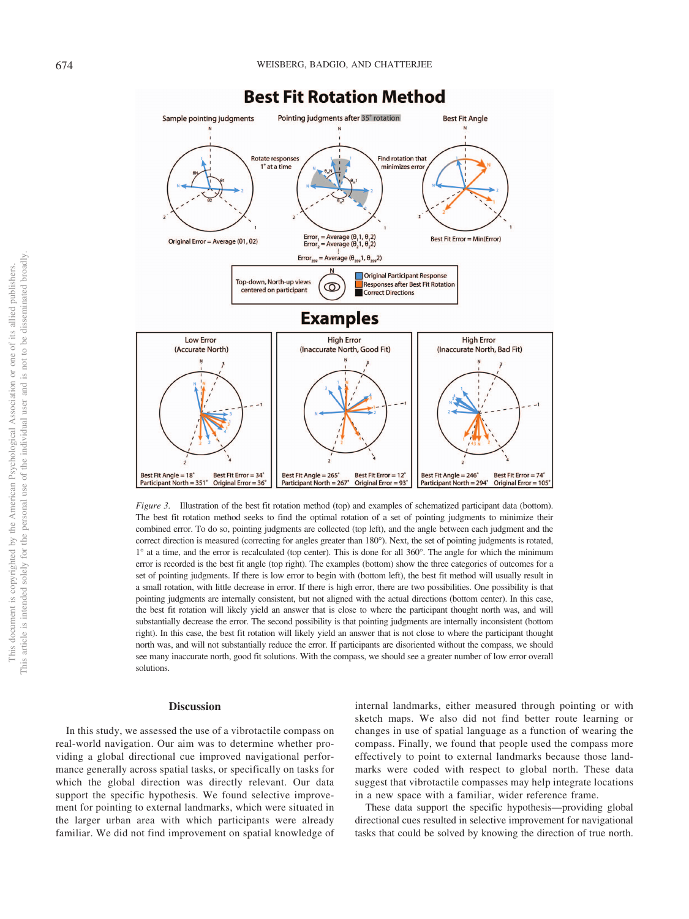

<span id="page-7-0"></span>*Figure 3.* Illustration of the best fit rotation method (top) and examples of schematized participant data (bottom). The best fit rotation method seeks to find the optimal rotation of a set of pointing judgments to minimize their combined error. To do so, pointing judgments are collected (top left), and the angle between each judgment and the correct direction is measured (correcting for angles greater than 180°). Next, the set of pointing judgments is rotated, 1° at a time, and the error is recalculated (top center). This is done for all 360°. The angle for which the minimum error is recorded is the best fit angle (top right). The examples (bottom) show the three categories of outcomes for a set of pointing judgments. If there is low error to begin with (bottom left), the best fit method will usually result in a small rotation, with little decrease in error. If there is high error, there are two possibilities. One possibility is that pointing judgments are internally consistent, but not aligned with the actual directions (bottom center). In this case, the best fit rotation will likely yield an answer that is close to where the participant thought north was, and will substantially decrease the error. The second possibility is that pointing judgments are internally inconsistent (bottom right). In this case, the best fit rotation will likely yield an answer that is not close to where the participant thought north was, and will not substantially reduce the error. If participants are disoriented without the compass, we should see many inaccurate north, good fit solutions. With the compass, we should see a greater number of low error overall solutions.

## **Discussion**

In this study, we assessed the use of a vibrotactile compass on real-world navigation. Our aim was to determine whether providing a global directional cue improved navigational performance generally across spatial tasks, or specifically on tasks for which the global direction was directly relevant. Our data support the specific hypothesis. We found selective improvement for pointing to external landmarks, which were situated in the larger urban area with which participants were already familiar. We did not find improvement on spatial knowledge of internal landmarks, either measured through pointing or with sketch maps. We also did not find better route learning or changes in use of spatial language as a function of wearing the compass. Finally, we found that people used the compass more effectively to point to external landmarks because those landmarks were coded with respect to global north. These data suggest that vibrotactile compasses may help integrate locations in a new space with a familiar, wider reference frame.

These data support the specific hypothesis—providing global directional cues resulted in selective improvement for navigational tasks that could be solved by knowing the direction of true north.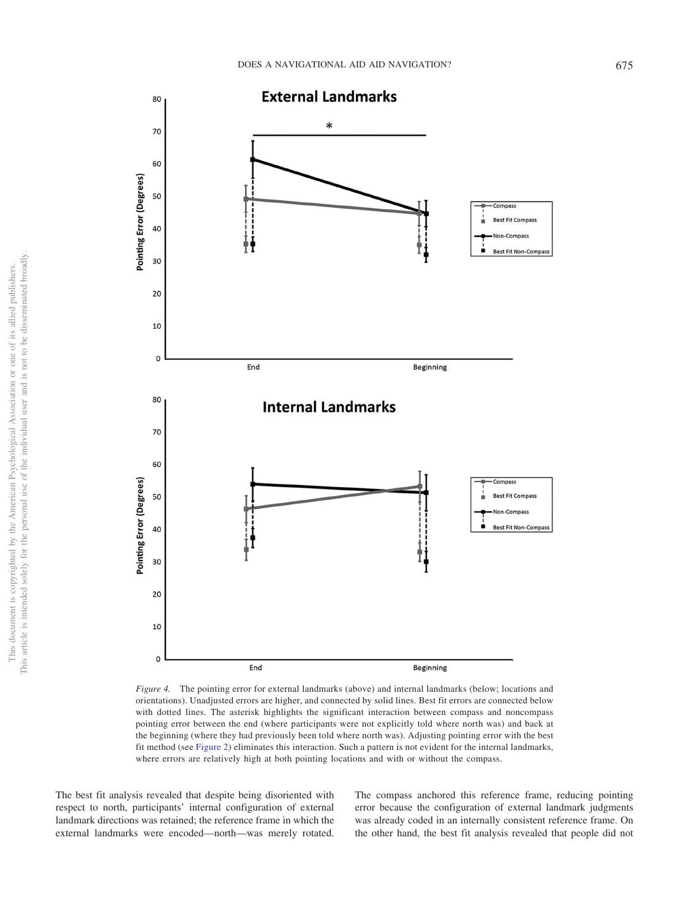

<span id="page-8-0"></span>*Figure 4.* The pointing error for external landmarks (above) and internal landmarks (below; locations and orientations). Unadjusted errors are higher, and connected by solid lines. Best fit errors are connected below with dotted lines. The asterisk highlights the significant interaction between compass and noncompass pointing error between the end (where participants were not explicitly told where north was) and back at the beginning (where they had previously been told where north was). Adjusting pointing error with the best fit method (see [Figure 2\)](#page-3-0) eliminates this interaction. Such a pattern is not evident for the internal landmarks, where errors are relatively high at both pointing locations and with or without the compass.

The best fit analysis revealed that despite being disoriented with respect to north, participants' internal configuration of external landmark directions was retained; the reference frame in which the external landmarks were encoded—north—was merely rotated.

The compass anchored this reference frame, reducing pointing error because the configuration of external landmark judgments was already coded in an internally consistent reference frame. On the other hand, the best fit analysis revealed that people did not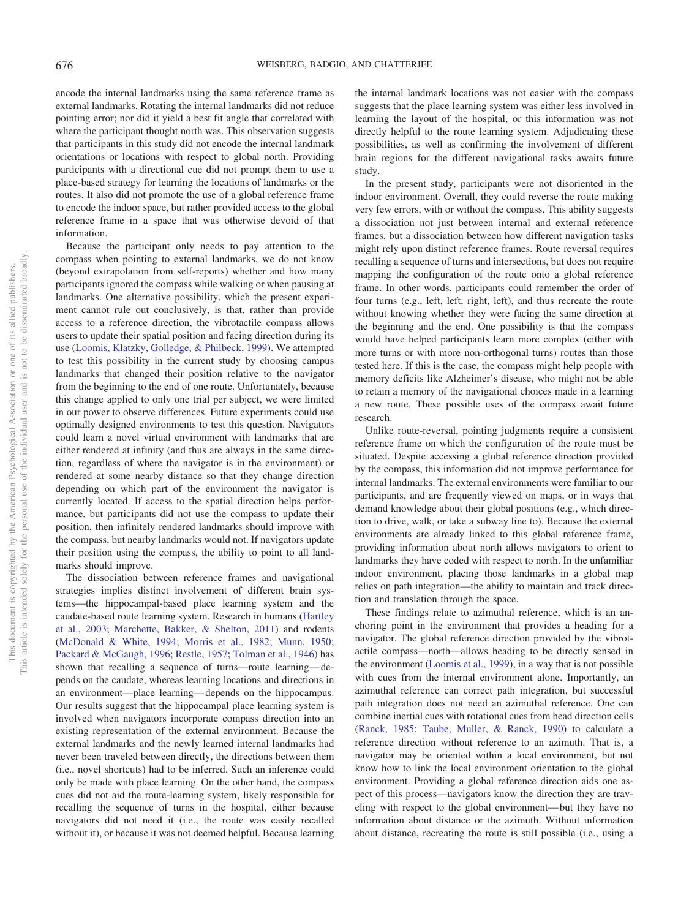encode the internal landmarks using the same reference frame as external landmarks. Rotating the internal landmarks did not reduce pointing error; nor did it yield a best fit angle that correlated with where the participant thought north was. This observation suggests that participants in this study did not encode the internal landmark orientations or locations with respect to global north. Providing participants with a directional cue did not prompt them to use a place-based strategy for learning the locations of landmarks or the routes. It also did not promote the use of a global reference frame to encode the indoor space, but rather provided access to the global reference frame in a space that was otherwise devoid of that information.

Because the participant only needs to pay attention to the compass when pointing to external landmarks, we do not know (beyond extrapolation from self-reports) whether and how many participants ignored the compass while walking or when pausing at landmarks. One alternative possibility, which the present experiment cannot rule out conclusively, is that, rather than provide access to a reference direction, the vibrotactile compass allows users to update their spatial position and facing direction during its use [\(Loomis, Klatzky, Golledge, & Philbeck, 1999\)](#page-11-28). We attempted to test this possibility in the current study by choosing campus landmarks that changed their position relative to the navigator from the beginning to the end of one route. Unfortunately, because this change applied to only one trial per subject, we were limited in our power to observe differences. Future experiments could use optimally designed environments to test this question. Navigators could learn a novel virtual environment with landmarks that are either rendered at infinity (and thus are always in the same direction, regardless of where the navigator is in the environment) or rendered at some nearby distance so that they change direction depending on which part of the environment the navigator is currently located. If access to the spatial direction helps performance, but participants did not use the compass to update their position, then infinitely rendered landmarks should improve with the compass, but nearby landmarks would not. If navigators update their position using the compass, the ability to point to all landmarks should improve.

The dissociation between reference frames and navigational strategies implies distinct involvement of different brain systems—the hippocampal-based place learning system and the caudate-based route learning system. Research in humans [\(Hartley](#page-11-1) [et al., 2003;](#page-11-1) [Marchette, Bakker, & Shelton, 2011\)](#page-11-2) and rodents [\(McDonald & White, 1994;](#page-11-3) [Morris et al., 1982;](#page-11-4) [Munn, 1950;](#page-11-5) [Packard & McGaugh, 1996;](#page-11-6) [Restle, 1957;](#page-12-3) [Tolman et al., 1946\)](#page-12-4) has shown that recalling a sequence of turns—route learning— depends on the caudate, whereas learning locations and directions in an environment—place learning— depends on the hippocampus. Our results suggest that the hippocampal place learning system is involved when navigators incorporate compass direction into an existing representation of the external environment. Because the external landmarks and the newly learned internal landmarks had never been traveled between directly, the directions between them (i.e., novel shortcuts) had to be inferred. Such an inference could only be made with place learning. On the other hand, the compass cues did not aid the route-learning system, likely responsible for recalling the sequence of turns in the hospital, either because navigators did not need it (i.e., the route was easily recalled without it), or because it was not deemed helpful. Because learning

the internal landmark locations was not easier with the compass suggests that the place learning system was either less involved in learning the layout of the hospital, or this information was not directly helpful to the route learning system. Adjudicating these possibilities, as well as confirming the involvement of different brain regions for the different navigational tasks awaits future study.

In the present study, participants were not disoriented in the indoor environment. Overall, they could reverse the route making very few errors, with or without the compass. This ability suggests a dissociation not just between internal and external reference frames, but a dissociation between how different navigation tasks might rely upon distinct reference frames. Route reversal requires recalling a sequence of turns and intersections, but does not require mapping the configuration of the route onto a global reference frame. In other words, participants could remember the order of four turns (e.g., left, left, right, left), and thus recreate the route without knowing whether they were facing the same direction at the beginning and the end. One possibility is that the compass would have helped participants learn more complex (either with more turns or with more non-orthogonal turns) routes than those tested here. If this is the case, the compass might help people with memory deficits like Alzheimer's disease, who might not be able to retain a memory of the navigational choices made in a learning a new route. These possible uses of the compass await future research.

Unlike route-reversal, pointing judgments require a consistent reference frame on which the configuration of the route must be situated. Despite accessing a global reference direction provided by the compass, this information did not improve performance for internal landmarks. The external environments were familiar to our participants, and are frequently viewed on maps, or in ways that demand knowledge about their global positions (e.g., which direction to drive, walk, or take a subway line to). Because the external environments are already linked to this global reference frame, providing information about north allows navigators to orient to landmarks they have coded with respect to north. In the unfamiliar indoor environment, placing those landmarks in a global map relies on path integration—the ability to maintain and track direction and translation through the space.

These findings relate to azimuthal reference, which is an anchoring point in the environment that provides a heading for a navigator. The global reference direction provided by the vibrotactile compass—north—allows heading to be directly sensed in the environment [\(Loomis et al., 1999\)](#page-11-28), in a way that is not possible with cues from the internal environment alone. Importantly, an azimuthal reference can correct path integration, but successful path integration does not need an azimuthal reference. One can combine inertial cues with rotational cues from head direction cells [\(Ranck, 1985;](#page-12-12) [Taube, Muller, & Ranck, 1990\)](#page-12-13) to calculate a reference direction without reference to an azimuth. That is, a navigator may be oriented within a local environment, but not know how to link the local environment orientation to the global environment. Providing a global reference direction aids one aspect of this process—navigators know the direction they are traveling with respect to the global environment— but they have no information about distance or the azimuth. Without information about distance, recreating the route is still possible (i.e., using a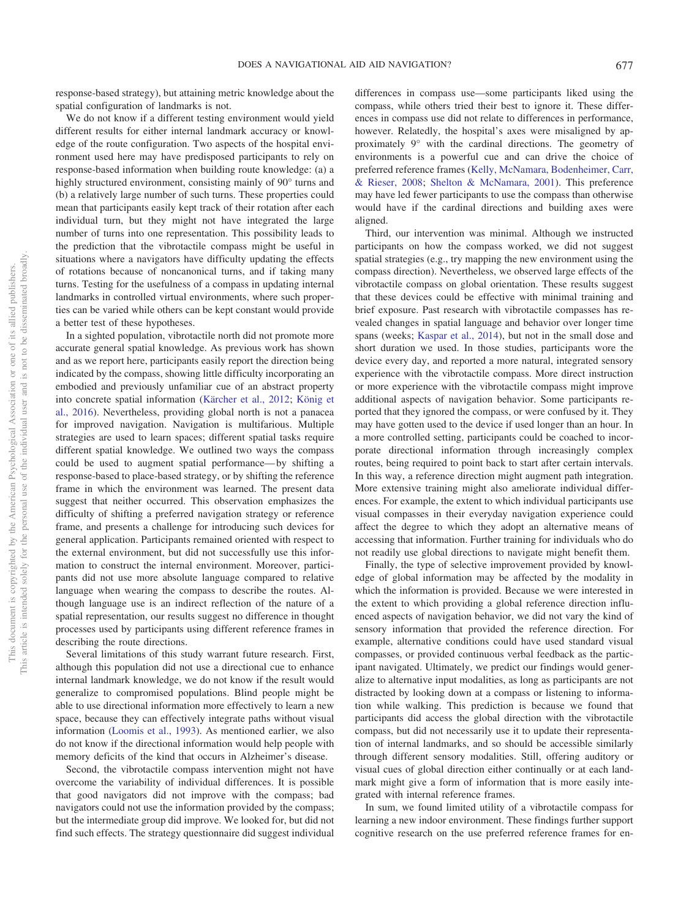response-based strategy), but attaining metric knowledge about the spatial configuration of landmarks is not.

We do not know if a different testing environment would yield different results for either internal landmark accuracy or knowledge of the route configuration. Two aspects of the hospital environment used here may have predisposed participants to rely on response-based information when building route knowledge: (a) a highly structured environment, consisting mainly of 90° turns and (b) a relatively large number of such turns. These properties could mean that participants easily kept track of their rotation after each individual turn, but they might not have integrated the large number of turns into one representation. This possibility leads to the prediction that the vibrotactile compass might be useful in situations where a navigators have difficulty updating the effects of rotations because of noncanonical turns, and if taking many turns. Testing for the usefulness of a compass in updating internal landmarks in controlled virtual environments, where such properties can be varied while others can be kept constant would provide a better test of these hypotheses.

In a sighted population, vibrotactile north did not promote more accurate general spatial knowledge. As previous work has shown and as we report here, participants easily report the direction being indicated by the compass, showing little difficulty incorporating an embodied and previously unfamiliar cue of an abstract property into concrete spatial information [\(Kärcher et al., 2012;](#page-11-19) [König et](#page-11-21) [al., 2016\)](#page-11-21). Nevertheless, providing global north is not a panacea for improved navigation. Navigation is multifarious. Multiple strategies are used to learn spaces; different spatial tasks require different spatial knowledge. We outlined two ways the compass could be used to augment spatial performance— by shifting a response-based to place-based strategy, or by shifting the reference frame in which the environment was learned. The present data suggest that neither occurred. This observation emphasizes the difficulty of shifting a preferred navigation strategy or reference frame, and presents a challenge for introducing such devices for general application. Participants remained oriented with respect to the external environment, but did not successfully use this information to construct the internal environment. Moreover, participants did not use more absolute language compared to relative language when wearing the compass to describe the routes. Although language use is an indirect reflection of the nature of a spatial representation, our results suggest no difference in thought processes used by participants using different reference frames in describing the route directions.

Several limitations of this study warrant future research. First, although this population did not use a directional cue to enhance internal landmark knowledge, we do not know if the result would generalize to compromised populations. Blind people might be able to use directional information more effectively to learn a new space, because they can effectively integrate paths without visual information [\(Loomis et al., 1993\)](#page-11-8). As mentioned earlier, we also do not know if the directional information would help people with memory deficits of the kind that occurs in Alzheimer's disease.

Second, the vibrotactile compass intervention might not have overcome the variability of individual differences. It is possible that good navigators did not improve with the compass; bad navigators could not use the information provided by the compass; but the intermediate group did improve. We looked for, but did not find such effects. The strategy questionnaire did suggest individual differences in compass use—some participants liked using the compass, while others tried their best to ignore it. These differences in compass use did not relate to differences in performance, however. Relatedly, the hospital's axes were misaligned by approximately 9° with the cardinal directions. The geometry of environments is a powerful cue and can drive the choice of preferred reference frames [\(Kelly, McNamara, Bodenheimer, Carr,](#page-11-29) [& Rieser, 2008;](#page-11-29) [Shelton & McNamara, 2001\)](#page-12-14). This preference may have led fewer participants to use the compass than otherwise would have if the cardinal directions and building axes were aligned.

Third, our intervention was minimal. Although we instructed participants on how the compass worked, we did not suggest spatial strategies (e.g., try mapping the new environment using the compass direction). Nevertheless, we observed large effects of the vibrotactile compass on global orientation. These results suggest that these devices could be effective with minimal training and brief exposure. Past research with vibrotactile compasses has revealed changes in spatial language and behavior over longer time spans (weeks; [Kaspar et al., 2014\)](#page-11-20), but not in the small dose and short duration we used. In those studies, participants wore the device every day, and reported a more natural, integrated sensory experience with the vibrotactile compass. More direct instruction or more experience with the vibrotactile compass might improve additional aspects of navigation behavior. Some participants reported that they ignored the compass, or were confused by it. They may have gotten used to the device if used longer than an hour. In a more controlled setting, participants could be coached to incorporate directional information through increasingly complex routes, being required to point back to start after certain intervals. In this way, a reference direction might augment path integration. More extensive training might also ameliorate individual differences. For example, the extent to which individual participants use visual compasses in their everyday navigation experience could affect the degree to which they adopt an alternative means of accessing that information. Further training for individuals who do not readily use global directions to navigate might benefit them.

Finally, the type of selective improvement provided by knowledge of global information may be affected by the modality in which the information is provided. Because we were interested in the extent to which providing a global reference direction influenced aspects of navigation behavior, we did not vary the kind of sensory information that provided the reference direction. For example, alternative conditions could have used standard visual compasses, or provided continuous verbal feedback as the participant navigated. Ultimately, we predict our findings would generalize to alternative input modalities, as long as participants are not distracted by looking down at a compass or listening to information while walking. This prediction is because we found that participants did access the global direction with the vibrotactile compass, but did not necessarily use it to update their representation of internal landmarks, and so should be accessible similarly through different sensory modalities. Still, offering auditory or visual cues of global direction either continually or at each landmark might give a form of information that is more easily integrated with internal reference frames.

In sum, we found limited utility of a vibrotactile compass for learning a new indoor environment. These findings further support cognitive research on the use preferred reference frames for en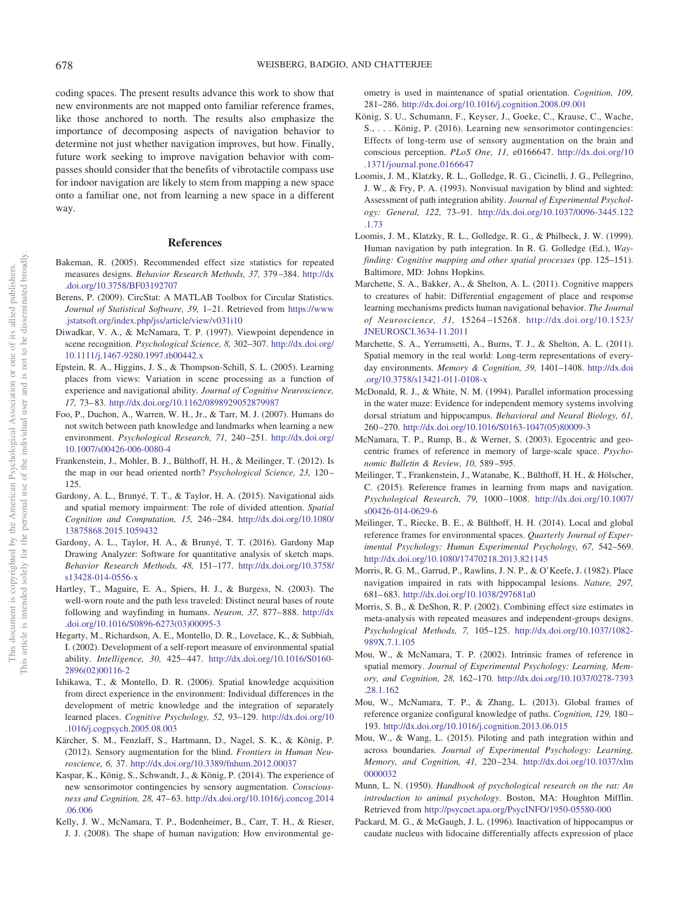coding spaces. The present results advance this work to show that new environments are not mapped onto familiar reference frames, like those anchored to north. The results also emphasize the importance of decomposing aspects of navigation behavior to determine not just whether navigation improves, but how. Finally, future work seeking to improve navigation behavior with compasses should consider that the benefits of vibrotactile compass use for indoor navigation are likely to stem from mapping a new space onto a familiar one, not from learning a new space in a different way.

## **References**

- <span id="page-11-25"></span>Bakeman, R. (2005). Recommended effect size statistics for repeated measures designs. *Behavior Research Methods, 37,* 379 –384. [http://dx](http://dx.doi.org/10.3758/BF03192707) [.doi.org/10.3758/BF03192707](http://dx.doi.org/10.3758/BF03192707)
- <span id="page-11-27"></span>Berens, P. (2009). CircStat: A MATLAB Toolbox for Circular Statistics. *Journal of Statistical Software, 39,* 1–21. Retrieved from [https://www](https://www.jstatsoft.org/index.php/jss/article/view/v031i10) [.jstatsoft.org/index.php/jss/article/view/v031i10](https://www.jstatsoft.org/index.php/jss/article/view/v031i10)
- <span id="page-11-9"></span>Diwadkar, V. A., & McNamara, T. P. (1997). Viewpoint dependence in scene recognition. *Psychological Science, 8,* 302–307. [http://dx.doi.org/](http://dx.doi.org/10.1111/j.1467-9280.1997.tb00442.x) [10.1111/j.1467-9280.1997.tb00442.x](http://dx.doi.org/10.1111/j.1467-9280.1997.tb00442.x)
- <span id="page-11-23"></span>Epstein, R. A., Higgins, J. S., & Thompson-Schill, S. L. (2005). Learning places from views: Variation in scene processing as a function of experience and navigational ability. *Journal of Cognitive Neuroscience, 17,* 73– 83. <http://dx.doi.org/10.1162/0898929052879987>
- <span id="page-11-7"></span>Foo, P., Duchon, A., Warren, W. H., Jr., & Tarr, M. J. (2007). Humans do not switch between path knowledge and landmarks when learning a new environment. *Psychological Research, 71,* 240 –251. [http://dx.doi.org/](http://dx.doi.org/10.1007/s00426-006-0080-4) [10.1007/s00426-006-0080-4](http://dx.doi.org/10.1007/s00426-006-0080-4)
- <span id="page-11-16"></span>Frankenstein, J., Mohler, B. J., Bülthoff, H. H., & Meilinger, T. (2012). Is the map in our head oriented north? *Psychological Science*, 23, 120-125.
- <span id="page-11-0"></span>Gardony, A. L., Brunyé, T. T., & Taylor, H. A. (2015). Navigational aids and spatial memory impairment: The role of divided attention. *Spatial Cognition and Computation, 15,* 246 –284. [http://dx.doi.org/10.1080/](http://dx.doi.org/10.1080/13875868.2015.1059432) [13875868.2015.1059432](http://dx.doi.org/10.1080/13875868.2015.1059432)
- <span id="page-11-26"></span>Gardony, A. L., Taylor, H. A., & Brunyé, T. T. (2016). Gardony Map Drawing Analyzer: Software for quantitative analysis of sketch maps. *Behavior Research Methods, 48,* 151–177. [http://dx.doi.org/10.3758/](http://dx.doi.org/10.3758/s13428-014-0556-x) [s13428-014-0556-x](http://dx.doi.org/10.3758/s13428-014-0556-x)
- <span id="page-11-1"></span>Hartley, T., Maguire, E. A., Spiers, H. J., & Burgess, N. (2003). The well-worn route and the path less traveled: Distinct neural bases of route following and wayfinding in humans. *Neuron, 37,* 877– 888. [http://dx](http://dx.doi.org/10.1016/S0896-6273%2803%2900095-3) [.doi.org/10.1016/S0896-6273\(03\)00095-3](http://dx.doi.org/10.1016/S0896-6273%2803%2900095-3)
- <span id="page-11-22"></span>Hegarty, M., Richardson, A. E., Montello, D. R., Lovelace, K., & Subbiah, I. (2002). Development of a self-report measure of environmental spatial ability. *Intelligence, 30,* 425– 447. [http://dx.doi.org/10.1016/S0160-](http://dx.doi.org/10.1016/S0160-2896%2802%2900116-2) [2896\(02\)00116-2](http://dx.doi.org/10.1016/S0160-2896%2802%2900116-2)
- <span id="page-11-18"></span>Ishikawa, T., & Montello, D. R. (2006). Spatial knowledge acquisition from direct experience in the environment: Individual differences in the development of metric knowledge and the integration of separately learned places. *Cognitive Psychology, 52,* 93–129. [http://dx.doi.org/10](http://dx.doi.org/10.1016/j.cogpsych.2005.08.003) [.1016/j.cogpsych.2005.08.003](http://dx.doi.org/10.1016/j.cogpsych.2005.08.003)
- <span id="page-11-19"></span>Kärcher, S. M., Fenzlaff, S., Hartmann, D., Nagel, S. K., & König, P. (2012). Sensory augmentation for the blind. *Frontiers in Human Neuroscience, 6,* 37. <http://dx.doi.org/10.3389/fnhum.2012.00037>
- <span id="page-11-20"></span>Kaspar, K., König, S., Schwandt, J., & König, P. (2014). The experience of new sensorimotor contingencies by sensory augmentation. *Consciousness and Cognition, 28,* 47– 63. [http://dx.doi.org/10.1016/j.concog.2014](http://dx.doi.org/10.1016/j.concog.2014.06.006) [.06.006](http://dx.doi.org/10.1016/j.concog.2014.06.006)
- <span id="page-11-29"></span>Kelly, J. W., McNamara, T. P., Bodenheimer, B., Carr, T. H., & Rieser, J. J. (2008). The shape of human navigation: How environmental ge-

ometry is used in maintenance of spatial orientation. *Cognition, 109,* 281–286. <http://dx.doi.org/10.1016/j.cognition.2008.09.001>

- <span id="page-11-21"></span>König, S. U., Schumann, F., Keyser, J., Goeke, C., Krause, C., Wache, S., . . . König, P. (2016). Learning new sensorimotor contingencies: Effects of long-term use of sensory augmentation on the brain and conscious perception. *PLoS One, 11,* e0166647. [http://dx.doi.org/10](http://dx.doi.org/10.1371/journal.pone.0166647) [.1371/journal.pone.0166647](http://dx.doi.org/10.1371/journal.pone.0166647)
- <span id="page-11-8"></span>Loomis, J. M., Klatzky, R. L., Golledge, R. G., Cicinelli, J. G., Pellegrino, J. W., & Fry, P. A. (1993). Nonvisual navigation by blind and sighted: Assessment of path integration ability. *Journal of Experimental Psychology: General, 122,* 73–91. [http://dx.doi.org/10.1037/0096-3445.122](http://dx.doi.org/10.1037/0096-3445.122.1.73) [.1.73](http://dx.doi.org/10.1037/0096-3445.122.1.73)
- <span id="page-11-28"></span>Loomis, J. M., Klatzky, R. L., Golledge, R. G., & Philbeck, J. W. (1999). Human navigation by path integration. In R. G. Golledge (Ed.), *Wayfinding: Cognitive mapping and other spatial processes* (pp. 125–151). Baltimore, MD: Johns Hopkins.
- <span id="page-11-2"></span>Marchette, S. A., Bakker, A., & Shelton, A. L. (2011). Cognitive mappers to creatures of habit: Differential engagement of place and response learning mechanisms predicts human navigational behavior. *The Journal of Neuroscience, 31,* 15264 –15268. [http://dx.doi.org/10.1523/](http://dx.doi.org/10.1523/JNEUROSCI.3634-11.2011) [JNEUROSCI.3634-11.2011](http://dx.doi.org/10.1523/JNEUROSCI.3634-11.2011)
- <span id="page-11-17"></span>Marchette, S. A., Yerramsetti, A., Burns, T. J., & Shelton, A. L. (2011). Spatial memory in the real world: Long-term representations of everyday environments. *Memory & Cognition, 39,* 1401–1408. [http://dx.doi](http://dx.doi.org/10.3758/s13421-011-0108-x) [.org/10.3758/s13421-011-0108-x](http://dx.doi.org/10.3758/s13421-011-0108-x)
- <span id="page-11-3"></span>McDonald, R. J., & White, N. M. (1994). Parallel information processing in the water maze: Evidence for independent memory systems involving dorsal striatum and hippocampus. *Behavioral and Neural Biology, 61,* 260 –270. [http://dx.doi.org/10.1016/S0163-1047\(05\)80009-3](http://dx.doi.org/10.1016/S0163-1047%2805%2980009-3)
- <span id="page-11-10"></span>McNamara, T. P., Rump, B., & Werner, S. (2003). Egocentric and geocentric frames of reference in memory of large-scale space. *Psychonomic Bulletin & Review, 10,* 589 –595.
- <span id="page-11-12"></span>Meilinger, T., Frankenstein, J., Watanabe, K., Bülthoff, H. H., & Hölscher, C. (2015). Reference frames in learning from maps and navigation. *Psychological Research, 79,* 1000 –1008. [http://dx.doi.org/10.1007/](http://dx.doi.org/10.1007/s00426-014-0629-6) [s00426-014-0629-6](http://dx.doi.org/10.1007/s00426-014-0629-6)
- <span id="page-11-11"></span>Meilinger, T., Riecke, B. E., & Bülthoff, H. H. (2014). Local and global reference frames for environmental spaces. *Quarterly Journal of Experimental Psychology: Human Experimental Psychology, 67,* 542–569. <http://dx.doi.org/10.1080/17470218.2013.821145>
- <span id="page-11-4"></span>Morris, R. G. M., Garrud, P., Rawlins, J. N. P., & O'Keefe, J. (1982). Place navigation impaired in rats with hippocampal lesions. *Nature, 297,* 681– 683. <http://dx.doi.org/10.1038/297681a0>
- <span id="page-11-24"></span>Morris, S. B., & DeShon, R. P. (2002). Combining effect size estimates in meta-analysis with repeated measures and independent-groups designs. *Psychological Methods, 7,* 105–125. [http://dx.doi.org/10.1037/1082-](http://dx.doi.org/10.1037/1082-989X.7.1.105) [989X.7.1.105](http://dx.doi.org/10.1037/1082-989X.7.1.105)
- <span id="page-11-13"></span>Mou, W., & McNamara, T. P. (2002). Intrinsic frames of reference in spatial memory. *Journal of Experimental Psychology: Learning, Memory, and Cognition, 28,* 162–170. [http://dx.doi.org/10.1037/0278-7393](http://dx.doi.org/10.1037/0278-7393.28.1.162) [.28.1.162](http://dx.doi.org/10.1037/0278-7393.28.1.162)
- <span id="page-11-14"></span>Mou, W., McNamara, T. P., & Zhang, L. (2013). Global frames of reference organize configural knowledge of paths. *Cognition, 129,* 180 – 193. <http://dx.doi.org/10.1016/j.cognition.2013.06.015>
- <span id="page-11-15"></span>Mou, W., & Wang, L. (2015). Piloting and path integration within and across boundaries. *Journal of Experimental Psychology: Learning, Memory, and Cognition, 41,* 220 –234. [http://dx.doi.org/10.1037/xlm](http://dx.doi.org/10.1037/xlm0000032) [0000032](http://dx.doi.org/10.1037/xlm0000032)
- <span id="page-11-5"></span>Munn, L. N. (1950). *Handbook of psychological research on the rat: An introduction to animal psychology*. Boston, MA: Houghton Mifflin. Retrieved from <http://psycnet.apa.org/PsycINFO/1950-05580-000>
- <span id="page-11-6"></span>Packard, M. G., & McGaugh, J. L. (1996). Inactivation of hippocampus or caudate nucleus with lidocaine differentially affects expression of place